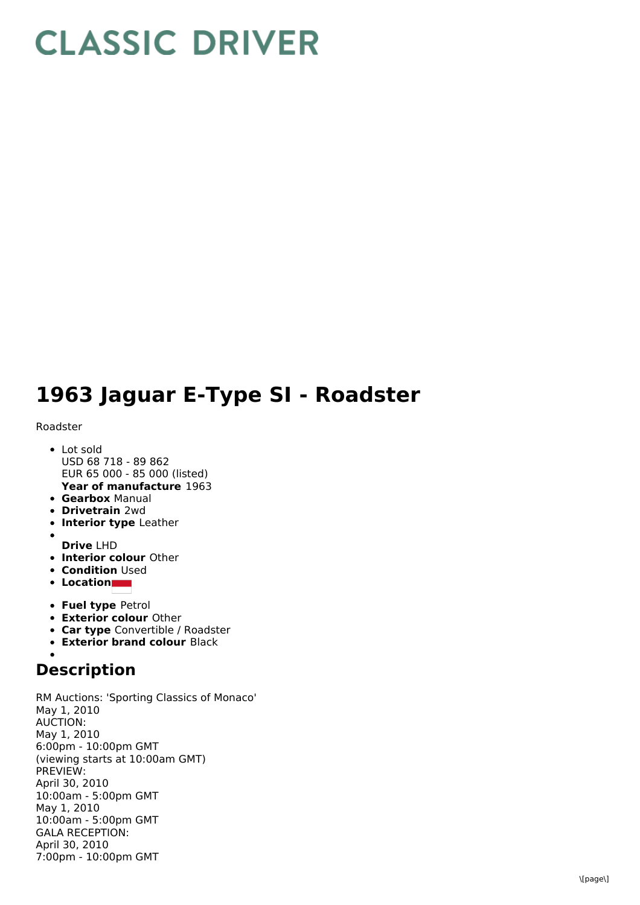# **CLASSIC DRIVER**

## **1963 Jaguar E-Type SI - Roadster**

#### Roadster

- **Year of manufacture** 1963 • Lot sold USD 68 718 - 89 862 EUR 65 000 - 85 000 (listed)
- **Gearbox** Manual
- **Drivetrain** 2wd
- **Interior type** Leather
- 
- **Drive** LHD
- **Interior colour** Other
- **Condition Used**
- **Location**
- **Fuel type** Petrol
- **Exterior colour** Other
- **Car type** Convertible / Roadster
- **Exterior brand colour** Black

### **Description**

RM Auctions: 'Sporting Classics of Monaco' May 1, 2010 AUCTION: May 1, 2010 6:00pm - 10:00pm GMT (viewing starts at 10:00am GMT) PREVIEW: April 30, 2010 10:00am - 5:00pm GMT May 1, 2010 10:00am - 5:00pm GMT GALA RECEPTION: April 30, 2010 7:00pm - 10:00pm GMT